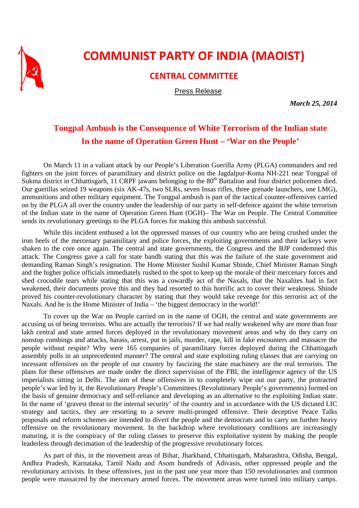

## **COMMUNIST PARTY OF INDIA (MAOIST)**

## **CENTRAL COMMITTEE**

Press Release

*March 25, 2014* 

## **Tongpal Ambush is the Consequence of White Terrorism of the Indian state In the name of Operation Green Hunt – 'War on the People'**

On March 11 in a valiant attack by our People's Liberation Guerilla Army (PLGA) commanders and red fighters on the joint forces of paramilitary and district police on the Jagdalpur-Konta NH-221 near Tongpal of Sukma district in Chhattisgarh, 11 CRPF jawans belonging to the 80<sup>th</sup> Battalion and four district policemen died. Our guerillas seized 19 weapons (six AK-47s, two SLRs, seven Insas rifles, three grenade launchers, one LMG), ammunitions and other military equipment. The Tongpal ambush is part of the tactical counter-offensives carried on by the PLGA all over the country under the leadership of our party in self-defence against the white terrorism of the Indian state in the name of Operation Green Hunt (OGH)– The War on People. The Central Committee sends its revolutionary greetings to the PLGA forces for making this ambush successful.

While this incident enthused a lot the oppressed masses of our country who are being crushed under the iron heels of the mercenary paramilitary and police forces, the exploiting governments and their lackeys were shaken to the core once again. The central and state governments, the Congress and the BJP condemned this attack. The Congress gave a call for state bandh stating that this was the failure of the state government and demanding Raman Singh's resignation. The Home Minister Sushil Kumar Shinde, Chief Minister Raman Singh and the higher police officials immediately rushed to the spot to keep up the morale of their mercenary forces and shed crocodile tears while stating that this was a cowardly act of the Naxals, that the Naxalites had in fact weakened, their documents prove this and they had resorted to this horrific act to cover their weakness. Shinde proved his counter-revolutionary character by stating that they would take revenge for this terrorist act of the Naxals. And he is the Home Minister of India – 'the biggest democracy in the world!'

To cover up the War on People carried on in the name of OGH, the central and state governments are accusing us of being terrorists. Who are actually the terrorists? If we had really weakened why are more than four lakh central and state armed forces deployed in the revolutionary movement areas and why do they carry on nonstop combings and attacks, harass, arrest, put in jails, murder, rape, kill in fake encounters and massacre the people without respite? Why were 165 companies of paramilitary forces deployed during the Chhattisgarh assembly polls in an unprecedented manner? The central and state exploiting ruling classes that are carrying on incessant offensives on the people of our country by fascizing the state machinery are the real terrorists. The plans for these offensives are made under the direct supervision of the FBI, the intelligence agency of the US imperialists sitting in Delhi. The aim of these offensives in to completely wipe out our party, the protracted people's war led by it, the Revolutionary People's Committees (Revolutionary People's governments) formed on the basis of genuine democracy and self-reliance and developing as an alternative to the exploiting Indian state. In the name of 'gravest threat to the internal security' of the country and in accordance with the US dictated LIC strategy and tactics, they are resorting to a severe multi-pronged offensive. Their deceptive Peace Talks proposals and reform schemes are intended to divert the people and the democrats and to carry on further heavy offensive on the revolutionary movement. In the backdrop where revolutionary conditions are increasingly maturing, it is the conspiracy of the ruling classes to preserve this exploitative system by making the people leaderless through decimation of the leadership of the progressive revolutionary forces.

As part of this, in the movement areas of Bihar, Jharkhand, Chhattisgarh, Maharashtra, Odisha, Bengal, Andhra Pradesh, Karnataka, Tamil Nadu and Asom hundreds of Adivasis, other oppressed people and the revolutionary activists. In these offensives, just in the past one year more than 150 revolutionaries and common people were massacred by the mercenary armed forces. The movement areas were turned into military camps.